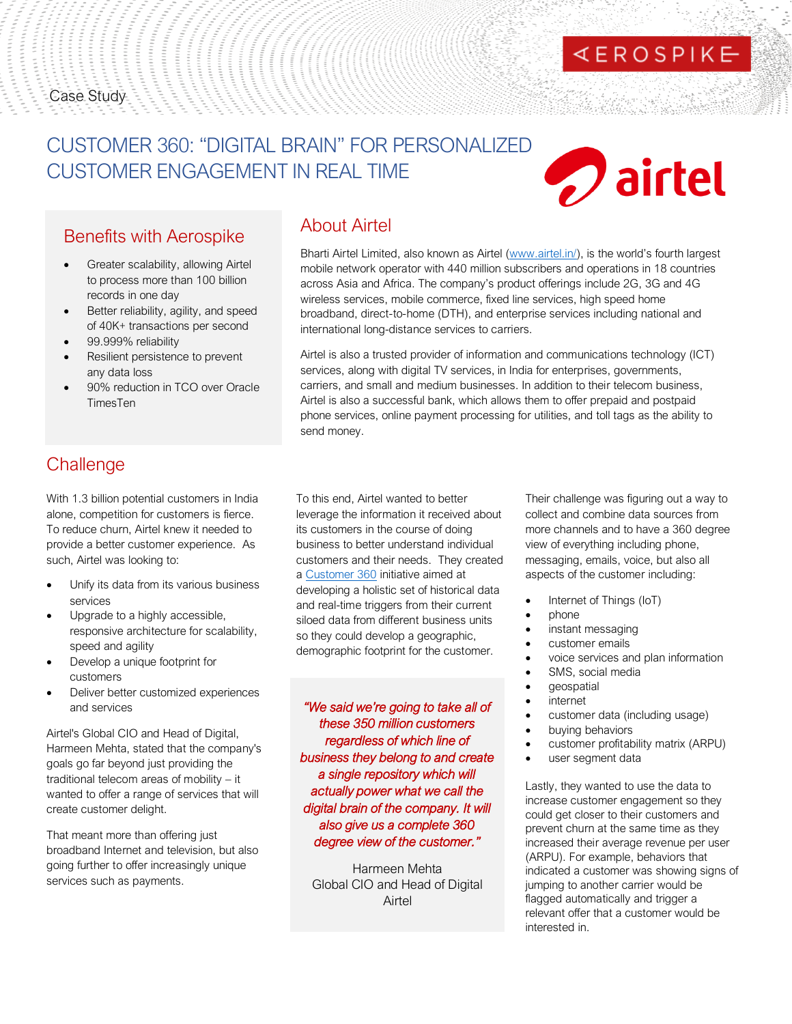#### Case Study

# CUSTOMER 360: "DIGITAL BRAIN" FOR PERSONALIZED CUSTOMER ENGAGEMENT IN REAL TIME

# **D** airtel

**EROSPIKE** 

## Benefits with Aerospike

- Greater scalability, allowing Airtel to process more than 100 billion records in one day
- Better reliability, agility, and speed of 40K+ transactions per second
- 99.999% reliability
- Resilient persistence to prevent any data loss
- 90% reduction in TCO over Oracle TimesTen

## About Airtel

Bharti Airtel Limited, also known as Airtel [\(www.airtel.in/](https://www.airtel.in/)), is the world's fourth largest mobile network operator with 440 million subscribers and operations in 18 countries across Asia and Africa. The company's product offerings include 2G, 3G and 4G wireless services, mobile commerce, fixed line services, high speed home broadband, direct-to-home (DTH), and enterprise services including national and international long-distance services to carriers.

Airtel is also a trusted provider of information and communications technology (ICT) services, along with digital TV services, in India for enterprises, governments, carriers, and small and medium businesses. In addition to their telecom business, Airtel is also a successful bank, which allows them to offer prepaid and postpaid phone services, online payment processing for utilities, and toll tags as the ability to send money.

## **Challenge**

With 1.3 billion potential customers in India alone, competition for customers is fierce. To reduce churn, Airtel knew it needed to provide a better customer experience. As such, Airtel was looking to:

- Unify its data from its various business services
- Upgrade to a highly accessible, responsive architecture for scalability, speed and agility
- Develop a unique footprint for customers
- Deliver better customized experiences and services

Airtel's Global CIO and Head of Digital, Harmeen Mehta, stated that the company's goals go far beyond just providing the traditional telecom areas of mobility – it wanted to offer a range of services that will create customer delight.

That meant more than offering just broadband Internet and television, but also going further to offer increasingly unique services such as payments.

To this end, Airtel wanted to better leverage the information it received about its customers in the course of doing business to better understand individual customers and their needs. They created a [Customer 360](https://www.aerospike.com/resources/videos/summit19/ty-airtel/) initiative aimed at developing a holistic set of historical data and real-time triggers from their current siloed data from different business units so they could develop a geographic, demographic footprint for the customer.

*"We said we're going to take all of these 350 million customers regardless of which line of business they belong to and create a single repository which will actually power what we call the digital brain of the company. It will also give us a complete 360 degree view of the customer."*

Harmeen Mehta Global CIO and Head of Digital Airtel

Their challenge was figuring out a way to collect and combine data sources from more channels and to have a 360 degree view of everything including phone, messaging, emails, voice, but also all aspects of the customer including:

- Internet of Things (IoT)
- phone
- instant messaging
- customer emails
- voice services and plan information
- SMS, social media
- geospatial
- **internet**
- customer data (including usage)
- buying behaviors
- customer profitability matrix (ARPU)
- user segment data

Lastly, they wanted to use the data to increase customer engagement so they could get closer to their customers and prevent churn at the same time as they increased their average revenue per user (ARPU). For example, behaviors that indicated a customer was showing signs of jumping to another carrier would be flagged automatically and trigger a relevant offer that a customer would be interested in.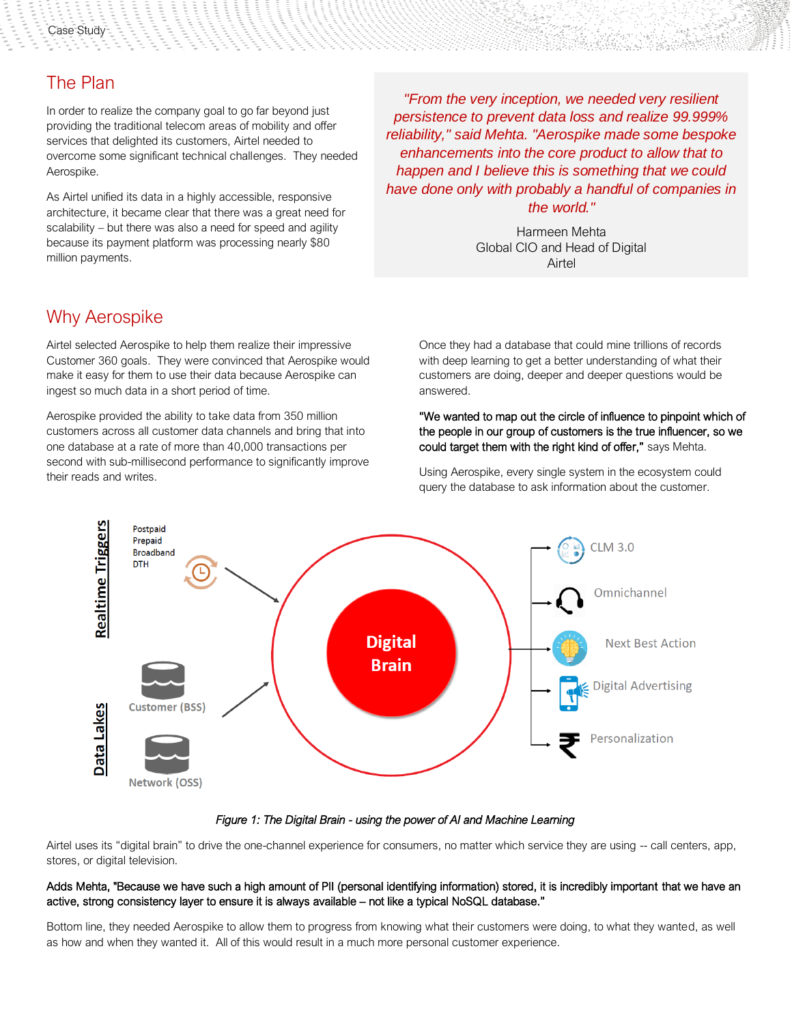## The Plan

In order to realize the company goal to go far beyond just providing the traditional telecom areas of mobility and offer services that delighted its customers, Airtel needed to overcome some significant technical challenges. They needed Aerospike.

As Airtel unified its data in a highly accessible, responsive architecture, it became clear that there was a great need for scalability – but there was also a need for speed and agility because its payment platform was processing nearly \$80 million payments.

Why Aerospike

Airtel selected Aerospike to help them realize their impressive Customer 360 goals. They were convinced that Aerospike would make it easy for them to use their data because Aerospike can ingest so much data in a short period of time.

Aerospike provided the ability to take data from 350 million customers across all customer data channels and bring that into one database at a rate of more than 40,000 transactions per second with sub-millisecond performance to significantly improve their reads and writes.

*"From the very inception, we needed very resilient persistence to prevent data loss and realize 99.999% reliability," said Mehta. "Aerospike made some bespoke enhancements into the core product to allow that to happen and I believe this is something that we could have done only with probably a handful of companies in the world."*

> Harmeen Mehta Global CIO and Head of Digital Airtel

Once they had a database that could mine trillions of records with deep learning to get a better understanding of what their customers are doing, deeper and deeper questions would be answered.

#### "We wanted to map out the circle of influence to pinpoint which of the people in our group of customers is the true influencer, so we could target them with the right kind of offer," says Mehta.

Using Aerospike, every single system in the ecosystem could query the database to ask information about the customer.



#### *Figure 1: The Digital Brain - using the power of AI and Machine Learning*

Airtel uses its "digital brain" to drive the one-channel experience for consumers, no matter which service they are using -- call centers, app, stores, or digital television.

#### Adds Mehta, "Because we have such a high amount of PII (personal identifying information) stored, it is incredibly important that we have an active, strong consistency layer to ensure it is always available – not like a typical NoSQL database."

Bottom line, they needed Aerospike to allow them to progress from knowing what their customers were doing, to what they wanted, as well as how and when they wanted it. All of this would result in a much more personal customer experience.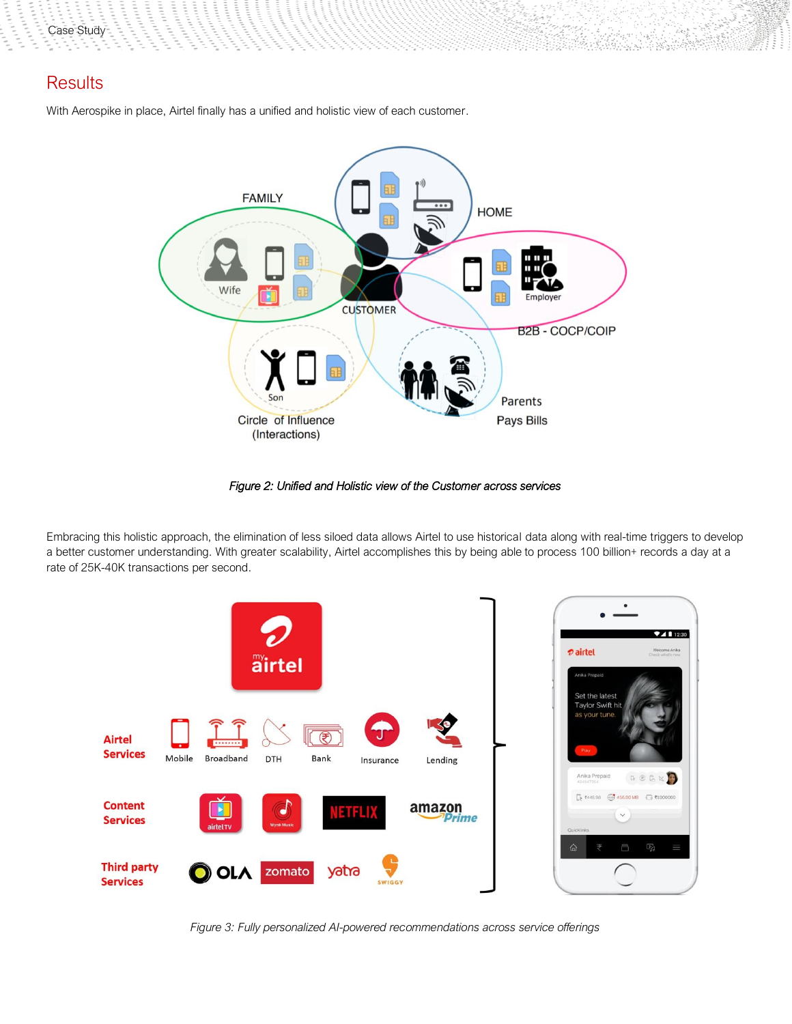Case Study

### **Results**

With Aerospike in place, Airtel finally has a unified and holistic view of each customer.



 $\label{eq:2.1} \mathcal{L} \mathcal{L} \mathcal{L} \mathcal{L} \mathcal{L} \mathcal{L}$ 

bhlian Aidh A

*Figure 2: Unified and Holistic view of the Customer across services* 

Embracing this holistic approach, the elimination of less siloed data allows Airtel to use historical data along with real-time triggers to develop a better customer understanding. With greater scalability, Airtel accomplishes this by being able to process 100 billion+ records a day at a rate of 25K-40K transactions per second.



*Figure 3: Fully personalized AI-powered recommendations across service offerings*